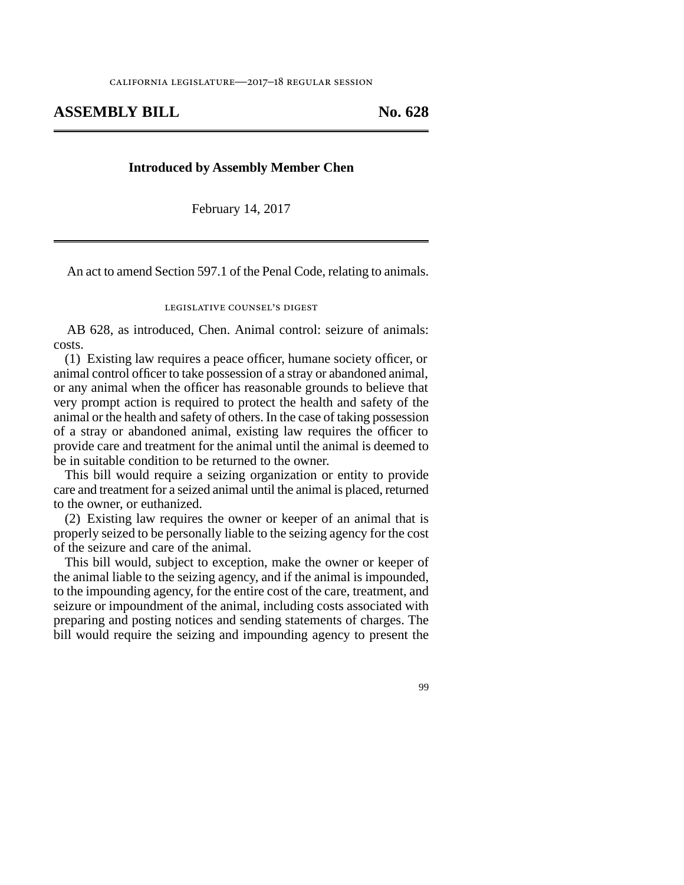## **ASSEMBLY BILL No. 628**

## **Introduced by Assembly Member Chen**

February 14, 2017

An act to amend Section 597.1 of the Penal Code, relating to animals.

## legislative counsel's digest

AB 628, as introduced, Chen. Animal control: seizure of animals: costs.

(1) Existing law requires a peace officer, humane society officer, or animal control officer to take possession of a stray or abandoned animal, or any animal when the officer has reasonable grounds to believe that very prompt action is required to protect the health and safety of the animal or the health and safety of others. In the case of taking possession of a stray or abandoned animal, existing law requires the officer to provide care and treatment for the animal until the animal is deemed to be in suitable condition to be returned to the owner.

This bill would require a seizing organization or entity to provide care and treatment for a seized animal until the animal is placed, returned to the owner, or euthanized.

(2) Existing law requires the owner or keeper of an animal that is properly seized to be personally liable to the seizing agency for the cost of the seizure and care of the animal.

This bill would, subject to exception, make the owner or keeper of the animal liable to the seizing agency, and if the animal is impounded, to the impounding agency, for the entire cost of the care, treatment, and seizure or impoundment of the animal, including costs associated with preparing and posting notices and sending statements of charges. The bill would require the seizing and impounding agency to present the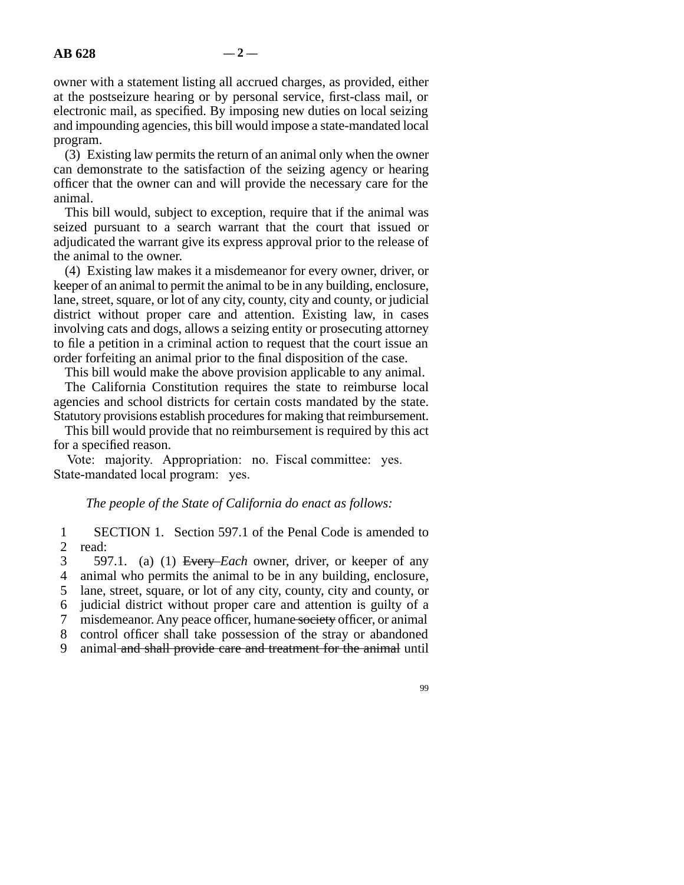owner with a statement listing all accrued charges, as provided, either at the postseizure hearing or by personal service, first-class mail, or electronic mail, as specified. By imposing new duties on local seizing and impounding agencies, this bill would impose a state-mandated local program.

(3) Existing law permits the return of an animal only when the owner can demonstrate to the satisfaction of the seizing agency or hearing officer that the owner can and will provide the necessary care for the animal.

This bill would, subject to exception, require that if the animal was seized pursuant to a search warrant that the court that issued or adjudicated the warrant give its express approval prior to the release of the animal to the owner.

(4) Existing law makes it a misdemeanor for every owner, driver, or keeper of an animal to permit the animal to be in any building, enclosure, lane, street, square, or lot of any city, county, city and county, or judicial district without proper care and attention. Existing law, in cases involving cats and dogs, allows a seizing entity or prosecuting attorney to file a petition in a criminal action to request that the court issue an order forfeiting an animal prior to the final disposition of the case.

This bill would make the above provision applicable to any animal.

The California Constitution requires the state to reimburse local agencies and school districts for certain costs mandated by the state. Statutory provisions establish procedures for making that reimbursement.

This bill would provide that no reimbursement is required by this act for a specified reason.

Vote: majority. Appropriation: no. Fiscal committee: yes. State-mandated local program: yes.

*The people of the State of California do enact as follows:*

1 SECTION 1. Section 597.1 of the Penal Code is amended to 2 read:

3 597.1. (a) (1) Every *Each* owner, driver, or keeper of any 4 animal who permits the animal to be in any building, enclosure, 5 lane, street, square, or lot of any city, county, city and county, or line 6 judicial district without proper care and attention is guilty of a 7 misdemeanor. Any peace officer, humane society officer, or animal 8 control officer shall take possession of the stray or abandoned 9 animal and shall provide care and treatment for the animal until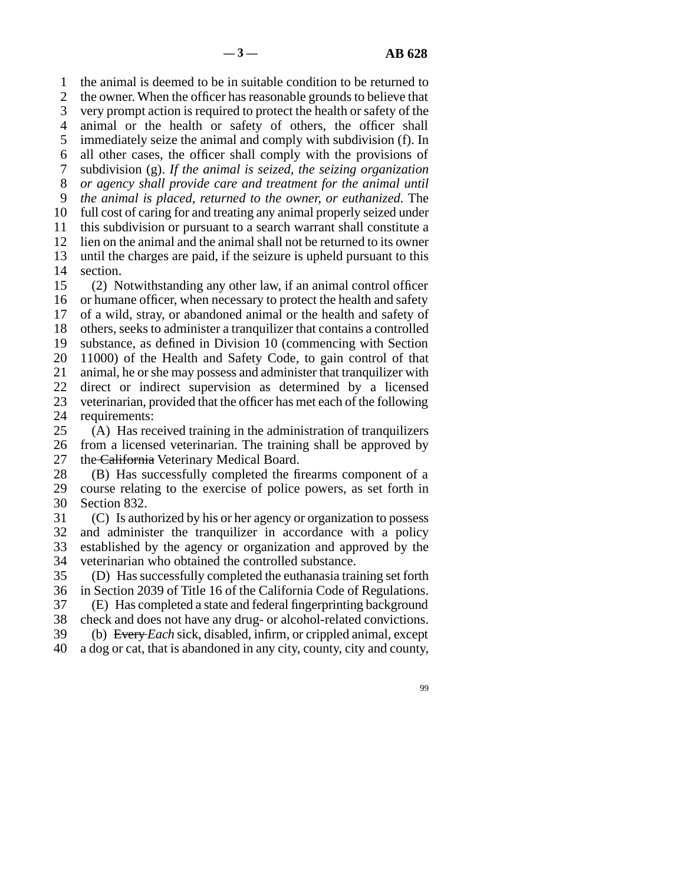line 1 the animal is deemed to be in suitable condition to be returned to 2 the owner. When the officer has reasonable grounds to believe that 3 very prompt action is required to protect the health or safety of the 4 animal or the health or safety of others, the officer shall 5 immediately seize the animal and comply with subdivision (f). In 6 all other cases, the officer shall comply with the provisions of line 7 subdivision (g). *If the animal is seized, the seizing organization* line 8 *or agency shall provide care and treatment for the animal until* line 9 *the animal is placed, returned to the owner, or euthanized.* The 10 full cost of caring for and treating any animal properly seized under 11 this subdivision or pursuant to a search warrant shall constitute a 12 lien on the animal and the animal shall not be returned to its owner 13 until the charges are paid, if the seizure is upheld pursuant to this 14 section. 15 (2) Notwithstanding any other law, if an animal control officer 16 or humane officer, when necessary to protect the health and safety 17 of a wild, stray, or abandoned animal or the health and safety of 18 others, seeks to administer a tranquilizer that contains a controlled 19 substance, as defined in Division 10 (commencing with Section

20 11000) of the Health and Safety Code, to gain control of that 21 animal, he or she may possess and administer that tranquilizer with 22 direct or indirect supervision as determined by a licensed

23 veterinarian, provided that the officer has met each of the following 24 requirements:<br>25 (A) Has rec

 $(A)$  Has received training in the administration of tranquilizers 26 from a licensed veterinarian. The training shall be approved by 27 the California Veterinary Medical Board.

28 (B) Has successfully completed the firearms component of a 29 course relating to the exercise of police powers, as set forth in 30 Section 832.

31 (C) Is authorized by his or her agency or organization to possess 32 and administer the tranquilizer in accordance with a policy 33 established by the agency or organization and approved by the 34 veterinarian who obtained the controlled substance.

35 (D) Has successfully completed the euthanasia training set forth 36 in Section 2039 of Title 16 of the California Code of Regulations. 37 (E) Has completed a state and federal fingerprinting background 38 check and does not have any drug- or alcohol-related convictions.

39 (b) Every *Each* sick, disabled, infirm, or crippled animal, except 40 a dog or cat, that is abandoned in any city, county, city and county,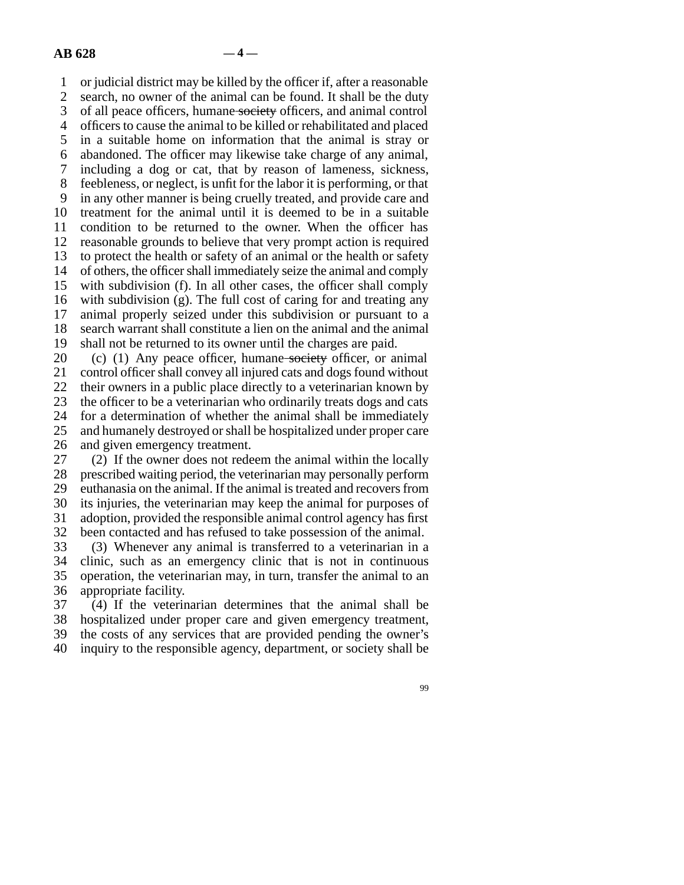line 1 or judicial district may be killed by the officer if, after a reasonable 2 search, no owner of the animal can be found. It shall be the duty<br>3 of all peace officers, humane<del> society</del> officers, and animal control of all peace officers, humane society officers, and animal control 4 officers to cause the animal to be killed or rehabilitated and placed 5 in a suitable home on information that the animal is stray or 6 abandoned. The officer may likewise take charge of any animal, line 7 including a dog or cat, that by reason of lameness, sickness, line 8 feebleness, or neglect, is unfit for the labor it is performing, or that 9 in any other manner is being cruelly treated, and provide care and 10 treatment for the animal until it is deemed to be in a suitable 11 condition to be returned to the owner. When the officer has 12 reasonable grounds to believe that very prompt action is required 13 to protect the health or safety of an animal or the health or safety 14 of others, the officer shall immediately seize the animal and comply 15 with subdivision (f). In all other cases, the officer shall comply 16 with subdivision (g). The full cost of caring for and treating any 17 animal properly seized under this subdivision or pursuant to a 18 search warrant shall constitute a lien on the animal and the animal 19 shall not be returned to its owner until the charges are paid. 20 (c) (1) Any peace officer, humane society officer, or animal

21 control officer shall convey all injured cats and dogs found without 22 their owners in a public place directly to a veterinarian known by 23 the officer to be a veterinarian who ordinarily treats dogs and cats 24 for a determination of whether the animal shall be immediately<br>25 and humanely destroyed or shall be hospitalized under proper care and humanely destroyed or shall be hospitalized under proper care 26 and given emergency treatment.

 $27$  (2) If the owner does not redeem the animal within the locally 28 prescribed waiting period, the veterinarian may personally perform 29 euthanasia on the animal. If the animal is treated and recovers from 30 its injuries, the veterinarian may keep the animal for purposes of 31 adoption, provided the responsible animal control agency has first 32 been contacted and has refused to take possession of the animal.

33 (3) Whenever any animal is transferred to a veterinarian in a 34 clinic, such as an emergency clinic that is not in continuous 35 operation, the veterinarian may, in turn, transfer the animal to an 36 appropriate facility.

37 (4) If the veterinarian determines that the animal shall be 38 hospitalized under proper care and given emergency treatment, 39 the costs of any services that are provided pending the owner's 40 inquiry to the responsible agency, department, or society shall be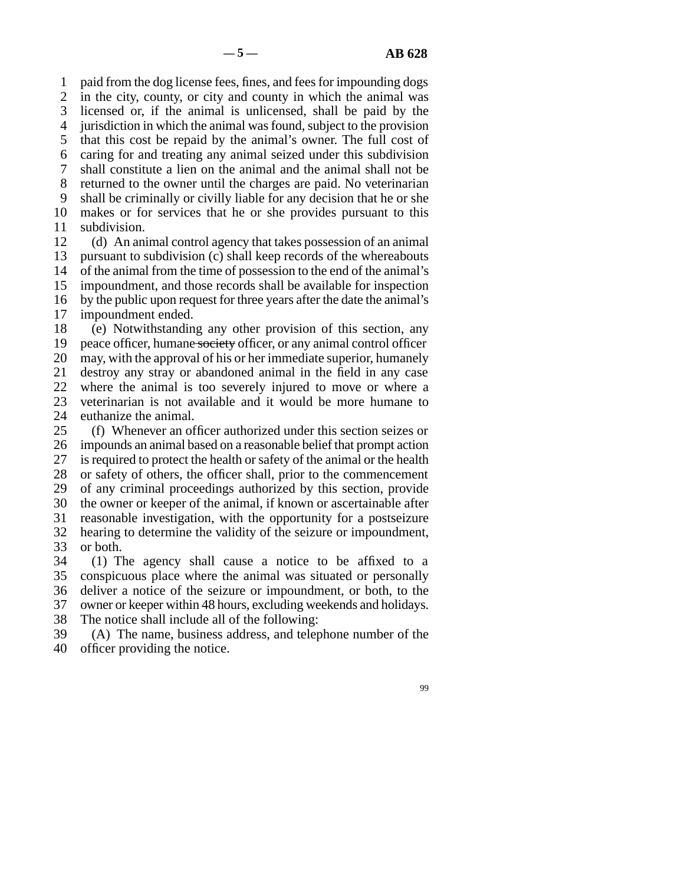line 1 paid from the dog license fees, fines, and fees for impounding dogs 2 in the city, county, or city and county in which the animal was 3 licensed or, if the animal is unlicensed, shall be paid by the 4 jurisdiction in which the animal was found, subject to the provision 5 that this cost be repaid by the animal's owner. The full cost of line 6 caring for and treating any animal seized under this subdivision line 7 shall constitute a lien on the animal and the animal shall not be 8 returned to the owner until the charges are paid. No veterinarian 9 shall be criminally or civilly liable for any decision that he or she 10 makes or for services that he or she provides pursuant to this 11 subdivision.

12 (d) An animal control agency that takes possession of an animal 13 pursuant to subdivision (c) shall keep records of the whereabouts 14 of the animal from the time of possession to the end of the animal's 15 impoundment, and those records shall be available for inspection 16 by the public upon request for three years after the date the animal's 17 impoundment ended.

18 (e) Notwithstanding any other provision of this section, any 19 peace officer, humane society officer, or any animal control officer 20 may, with the approval of his or her immediate superior, humanely 21 destroy any stray or abandoned animal in the field in any case 22 where the animal is too severely injured to move or where a<br>23 veterinarian is not available and it would be more humane to veterinarian is not available and it would be more humane to 24 euthanize the animal.<br>25 (f) Whenever an of

(f) Whenever an officer authorized under this section seizes or 26 impounds an animal based on a reasonable belief that prompt action 27 is required to protect the health or safety of the animal or the health 28 or safety of others, the officer shall, prior to the commencement 29 of any criminal proceedings authorized by this section, provide 30 the owner or keeper of the animal, if known or ascertainable after 31 reasonable investigation, with the opportunity for a postseizure 32 hearing to determine the validity of the seizure or impoundment, 33 or both.

34 (1) The agency shall cause a notice to be affixed to a 35 conspicuous place where the animal was situated or personally 36 deliver a notice of the seizure or impoundment, or both, to the 37 owner or keeper within 48 hours, excluding weekends and holidays. 38 The notice shall include all of the following:

39 (A) The name, business address, and telephone number of the 40 officer providing the notice.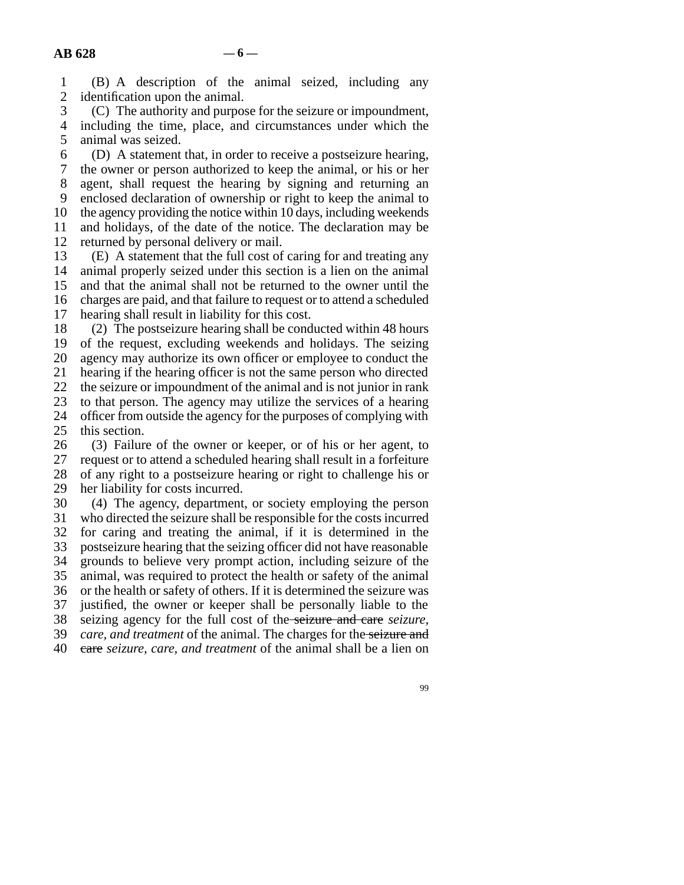line 1 (B) A description of the animal seized, including any 2 identification upon the animal.<br>3  $\left($ C) The authority and purpos

(C) The authority and purpose for the seizure or impoundment, line 4 including the time, place, and circumstances under which the 5 animal was seized.

 $\delta$  (D) A statement that, in order to receive a postseizure hearing, 7 the owner or person authorized to keep the animal, or his or her 8 agent, shall request the hearing by signing and returning an 9 enclosed declaration of ownership or right to keep the animal to 10 the agency providing the notice within 10 days, including weekends 11 and holidays, of the date of the notice. The declaration may be 12 returned by personal delivery or mail.

13 (E) A statement that the full cost of caring for and treating any 14 animal properly seized under this section is a lien on the animal 15 and that the animal shall not be returned to the owner until the 16 charges are paid, and that failure to request or to attend a scheduled 17 hearing shall result in liability for this cost.

18 (2) The postseizure hearing shall be conducted within 48 hours 19 of the request, excluding weekends and holidays. The seizing 20 agency may authorize its own officer or employee to conduct the 21 hearing if the hearing officer is not the same person who directed 22 the seizure or impoundment of the animal and is not junior in rank 23 to that person. The agency may utilize the services of a hearing 24 officer from outside the agency for the purposes of complying with<br>25 this section. this section.

26 (3) Failure of the owner or keeper, or of his or her agent, to request or to attend a scheduled hearing shall result in a forfeiture request or to attend a scheduled hearing shall result in a forfeiture 28 of any right to a postseizure hearing or right to challenge his or 29 her liability for costs incurred.

30 (4) The agency, department, or society employing the person 31 who directed the seizure shall be responsible for the costs incurred 32 for caring and treating the animal, if it is determined in the 33 postseizure hearing that the seizing officer did not have reasonable 34 grounds to believe very prompt action, including seizure of the 35 animal, was required to protect the health or safety of the animal 36 or the health or safety of others. If it is determined the seizure was 37 justified, the owner or keeper shall be personally liable to the line 38 seizing agency for the full cost of the seizure and care *seizure,* 39 *care, and treatment* of the animal. The charges for the seizure and line 40 care *seizure, care, and treatment* of the animal shall be a lien on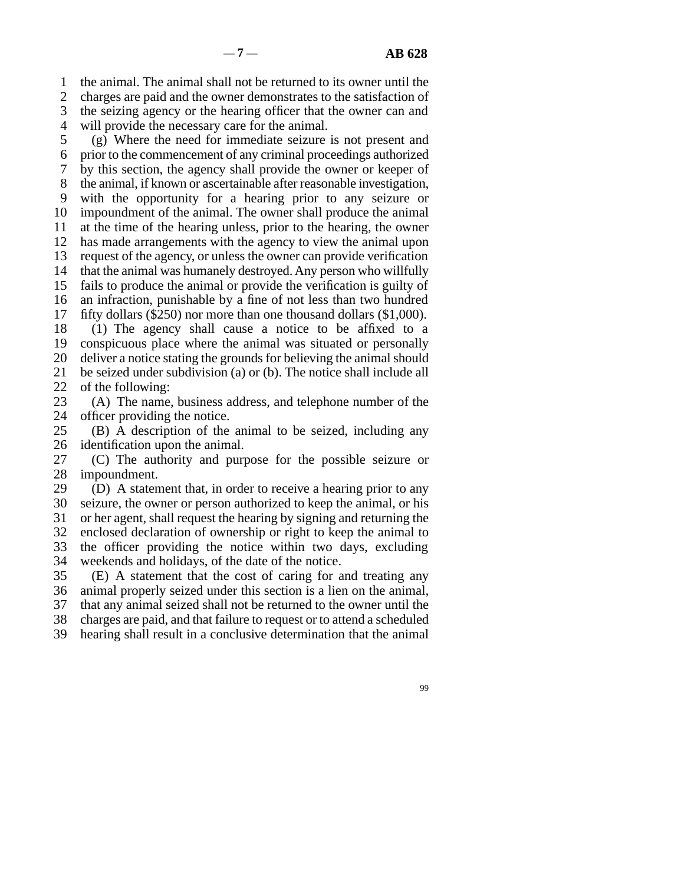line 1 the animal. The animal shall not be returned to its owner until the

2 charges are paid and the owner demonstrates to the satisfaction of

3 the seizing agency or the hearing officer that the owner can and 4 will provide the necessary care for the animal.

 line 5 (g) Where the need for immediate seizure is not present and line 6 prior to the commencement of any criminal proceedings authorized 7 by this section, the agency shall provide the owner or keeper of 8 the animal, if known or ascertainable after reasonable investigation, line 9 with the opportunity for a hearing prior to any seizure or 10 impoundment of the animal. The owner shall produce the animal 11 at the time of the hearing unless, prior to the hearing, the owner 12 has made arrangements with the agency to view the animal upon 13 request of the agency, or unless the owner can provide verification<br>14 that the animal was humanely destroved. Any person who willfully that the animal was humanely destroyed. Any person who willfully 15 fails to produce the animal or provide the verification is guilty of 16 an infraction, punishable by a fine of not less than two hundred 17 fifty dollars (\$250) nor more than one thousand dollars (\$1,000).

18 (1) The agency shall cause a notice to be affixed to a 19 conspicuous place where the animal was situated or personally 20 deliver a notice stating the grounds for believing the animal should 21 be seized under subdivision (a) or (b). The notice shall include all 22 of the following:<br>23  $(A)$  The name

23 (A) The name, business address, and telephone number of the officer providing the notice. 24 officer providing the notice.<br>25 (B) A description of the

 $\Delta$  (B) A description of the animal to be seized, including any 26 identification upon the animal.

27 (C) The authority and purpose for the possible seizure or 28 impoundment.

29  $\langle D \rangle$  A statement that, in order to receive a hearing prior to any 30 seizure, the owner or person authorized to keep the animal, or his

31 or her agent, shall request the hearing by signing and returning the

32 enclosed declaration of ownership or right to keep the animal to

33 the officer providing the notice within two days, excluding 34 weekends and holidays, of the date of the notice.

35 (E) A statement that the cost of caring for and treating any 36 animal properly seized under this section is a lien on the animal, 37 that any animal seized shall not be returned to the owner until the 38 charges are paid, and that failure to request or to attend a scheduled

39 hearing shall result in a conclusive determination that the animal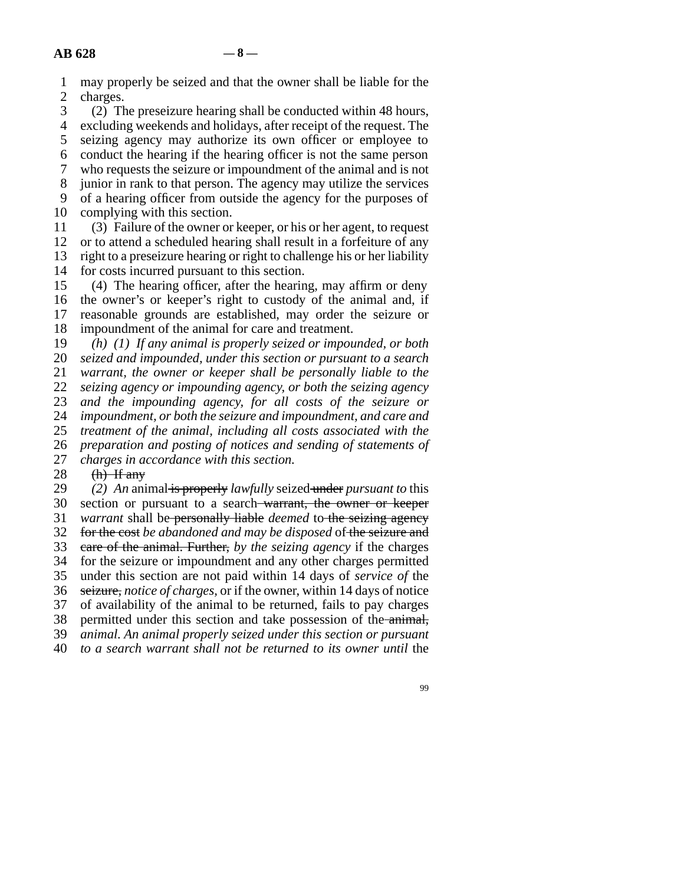line 1 may properly be seized and that the owner shall be liable for the 2 charges.<br>3  $(2)$  Th (2) The preseizure hearing shall be conducted within  $48$  hours, line 4 excluding weekends and holidays, after receipt of the request. The 5 seizing agency may authorize its own officer or employee to line 6 conduct the hearing if the hearing officer is not the same person line 7 who requests the seizure or impoundment of the animal and is not 8 junior in rank to that person. The agency may utilize the services 9 of a hearing officer from outside the agency for the purposes of 10 complying with this section.

 line 11 (3) Failure of the owner or keeper, or his or her agent, to request 12 or to attend a scheduled hearing shall result in a forfeiture of any 13 right to a preseizure hearing or right to challenge his or her liability 14 for costs incurred pursuant to this section.

 $15$  (4) The hearing officer, after the hearing, may affirm or deny 16 the owner's or keeper's right to custody of the animal and, if 17 reasonable grounds are established, may order the seizure or 18 impoundment of the animal for care and treatment.

 line 19 *(h) (1) If any animal is properly seized or impounded, or both seized and impounded, under this section or pursuant to a search warrant, the owner or keeper shall be personally liable to the seizing agency or impounding agency, or both the seizing agency and the impounding agency, for all costs of the seizure or impoundment, or both the seizure and impoundment, and care and*<br>25 *treatment of the animal, including all costs associated with the* treatment of the animal, including all costs associated with the

26 *preparation and posting of notices and sending of statements of*<br>27 *charges in accordance with this section*.

27 *charges in accordance with this section.*<br>28 <del>(h) If any</del>

28 (h) If any<br>29 (2)  $An \text{ ani}$ 

 line 29 *(2) An* animal is properly *lawfully* seized under *pursuant to* this 30 section or pursuant to a search warrant, the owner or keeper line 31 *warrant* shall be personally liable *deemed* to the seizing agency 32 for the cost *be abandoned and may be disposed* of the seizure and 33 eare of the animal. Further, by the seizing agency if the charges 34 for the seizure or impoundment and any other charges permitted 35 under this section are not paid within 14 days of *service of* the line 36 seizure, *notice of charges,* or if the owner, within 14 days of notice 37 of availability of the animal to be returned, fails to pay charges 38 permitted under this section and take possession of the animal, line 39 *animal. An animal properly seized under this section or pursuant* line 40 *to a search warrant shall not be returned to its owner until* the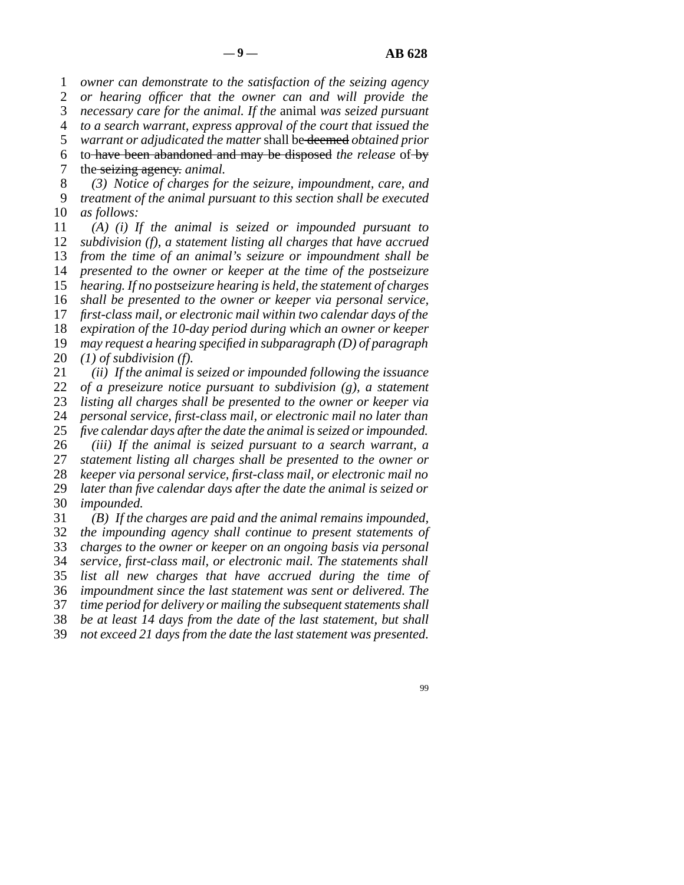line 1 *owner can demonstrate to the satisfaction of the seizing agency* 2 *or hearing officer that the owner can and will provide the*  line 3 *necessary care for the animal. If the* animal *was seized pursuant* line 4 *to a search warrant, express approval of the court that issued the* line 5 *warrant or adjudicated the matter* shall be deemed *obtained prior* line 6 to have been abandoned and may be disposed *the release* of by 7 the seizing agency. *animal*. line 8 *(3) Notice of charges for the seizure, impoundment, care, and*

 line 9 *treatment of the animal pursuant to this section shall be executed* 10 *as follows:* 

 line 11 *(A) (i) If the animal is seized or impounded pursuant to subdivision (f), a statement listing all charges that have accrued from the time of an animal's seizure or impoundment shall be presented to the owner or keeper at the time of the postseizure hearing. If no postseizure hearing is held, the statement of charges shall be presented to the owner or keeper via personal service, first-class mail, or electronic mail within two calendar days of the expiration of the 10-day period during which an owner or keeper may request a hearing specified in subparagraph (D) of paragraph*  $(1)$  of subdivision (f). *(ii)* If the animal is seized or impounded following the issuance *of a preseizure notice pursuant to subdivision (g), a statement listing all charges shall be presented to the owner or keeper via* 

24 *personal service, first-class mail, or electronic mail no later than*<br>25 *five calendar days after the date the animal is seized or impounded.* five calendar days after the date the animal is seized or impounded.

*(iii)* If the animal is seized pursuant to a search warrant, a *statement listing all charges shall be presented to the owner or keeper via personal service, first-class mail, or electronic mail no later than five calendar days after the date the animal is seized or impounded.* 

 line 31 *(B) If the charges are paid and the animal remains impounded,* line 32 *the impounding agency shall continue to present statements of* 33 *charges to the owner or keeper on an ongoing basis via personal* 34 *service, first-class mail, or electronic mail. The statements shall*  line 35 *list all new charges that have accrued during the time of* 36 *impoundment since the last statement was sent or delivered. The*  line 37 *time period for delivery or mailing the subsequent statements shall* 38 *be at least 14 days from the date of the last statement, but shall* 

39 *not exceed 21 days from the date the last statement was presented.*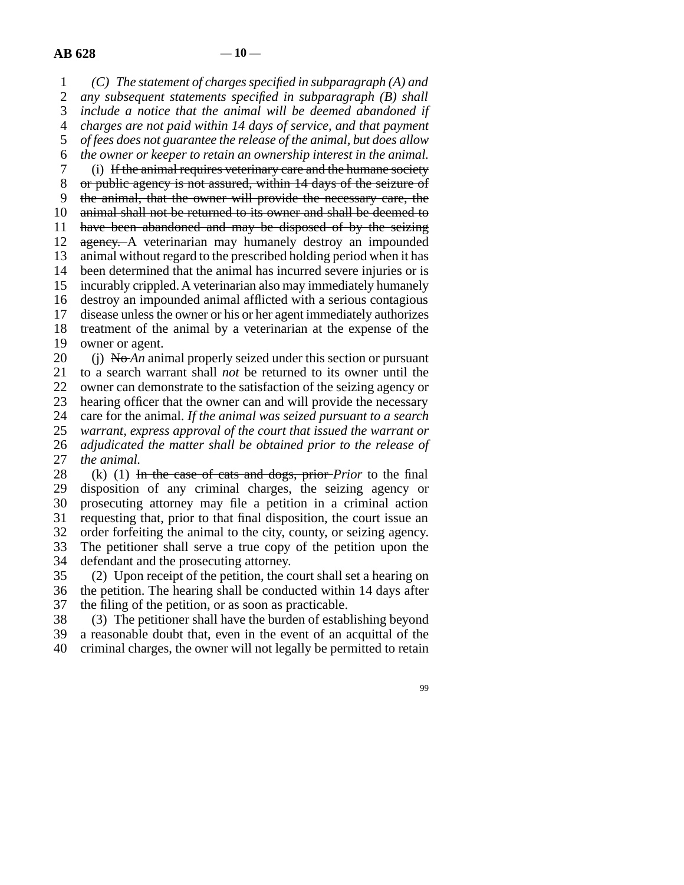line 1 *(C) The statement of charges specified in subparagraph (A) and* 2 any subsequent statements specified in subparagraph (B) shall<br>3 include a notice that the animal will be deemed abandoned if include a notice that the animal will be deemed abandoned if line 4 *charges are not paid within 14 days of service, and that payment* 5 of fees does not guarantee the release of the animal, but does allow line 6 *the owner or keeper to retain an ownership interest in the animal.* 7 (i) If the animal requires veterinary care and the humane society 8 or public agency is not assured, within 14 days of the seizure of 9 the animal, that the owner will provide the necessary care, the 10 animal shall not be returned to its owner and shall be deemed to 11 have been abandoned and may be disposed of by the seizing 12 agency. A veterinarian may humanely destroy an impounded 13 animal without regard to the prescribed holding period when it has 14 been determined that the animal has incurred severe injuries or is 15 incurably crippled. A veterinarian also may immediately humanely 16 destroy an impounded animal afflicted with a serious contagious 17 disease unless the owner or his or her agent immediately authorizes<br>18 treatment of the animal by a veterinarian at the expense of the treatment of the animal by a veterinarian at the expense of the 19 owner or agent. 20 (j) No *An* animal properly seized under this section or pursuant 21 to a search warrant shall *not* be returned to its owner until the 22 owner can demonstrate to the satisfaction of the seizing agency or 23 hearing officer that the owner can and will provide the necessary 24 care for the animal. *If the animal was seized pursuant to a search*<br>25 warrant, express approval of the court that issued the warrant or warrant, express approval of the court that issued the warrant or 26 *adjudicated the matter shall be obtained prior to the release of* 27 *the animal.* 28 (k) (1) In the case of cats and dogs, prior *Prior* to the final 29 disposition of any criminal charges, the seizing agency or 30 prosecuting attorney may file a petition in a criminal action 31 requesting that, prior to that final disposition, the court issue an 32 order forfeiting the animal to the city, county, or seizing agency.

33 The petitioner shall serve a true copy of the petition upon the 34 defendant and the prosecuting attorney.

35 (2) Upon receipt of the petition, the court shall set a hearing on 36 the petition. The hearing shall be conducted within 14 days after 37 the filing of the petition, or as soon as practicable.

38 (3) The petitioner shall have the burden of establishing beyond

- 39 a reasonable doubt that, even in the event of an acquittal of the
- 40 criminal charges, the owner will not legally be permitted to retain
	- 99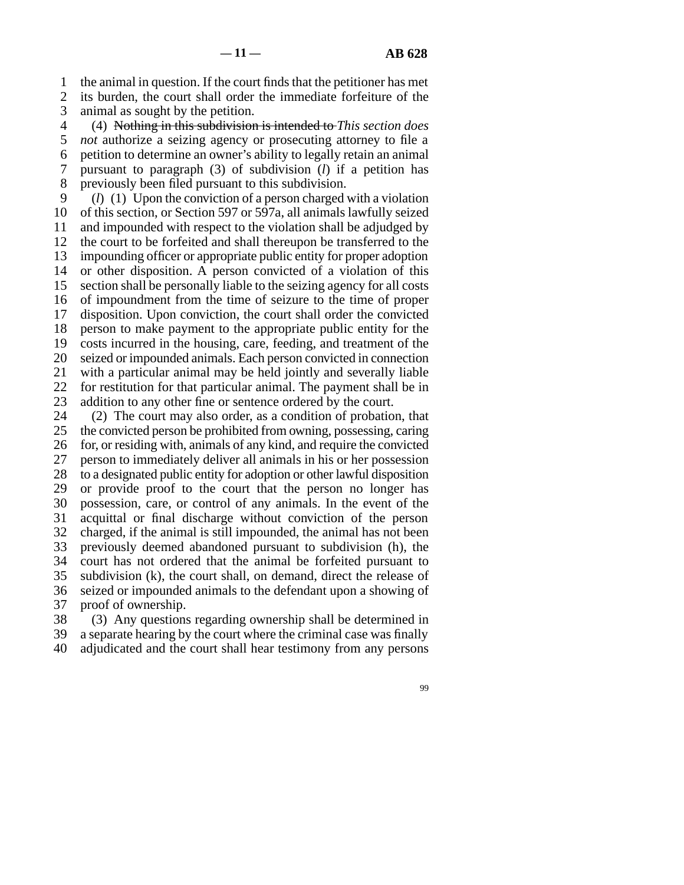line 1 the animal in question. If the court finds that the petitioner has met 2 its burden, the court shall order the immediate forfeiture of the

3 animal as sought by the petition.

 line 4 (4) Nothing in this subdivision is intended to *This section does* line 5 *not* authorize a seizing agency or prosecuting attorney to file a line 6 petition to determine an owner's ability to legally retain an animal line 7 pursuant to paragraph (3) of subdivision (*l*) if a petition has 8 previously been filed pursuant to this subdivision.

9 (*l*) (1) Upon the conviction of a person charged with a violation 10 of this section, or Section 597 or 597a, all animals lawfully seized 11 and impounded with respect to the violation shall be adjudged by 12 the court to be forfeited and shall thereupon be transferred to the 13 impounding officer or appropriate public entity for proper adoption 14 or other disposition. A person convicted of a violation of this 15 section shall be personally liable to the seizing agency for all costs 16 of impoundment from the time of seizure to the time of proper 17 disposition. Upon conviction, the court shall order the convicted 18 person to make payment to the appropriate public entity for the 19 costs incurred in the housing, care, feeding, and treatment of the 20 seized or impounded animals. Each person convicted in connection 21 with a particular animal may be held jointly and severally liable 22 for restitution for that particular animal. The payment shall be in 23 addition to any other fine or sentence ordered by the court.

24 (2) The court may also order, as a condition of probation, that 25 the convicted person be prohibited from owning, possessing, caring the convicted person be prohibited from owning, possessing, caring 26 for, or residing with, animals of any kind, and require the convicted 27 person to immediately deliver all animals in his or her possession 28 to a designated public entity for adoption or other lawful disposition 29 or provide proof to the court that the person no longer has 30 possession, care, or control of any animals. In the event of the 31 acquittal or final discharge without conviction of the person 32 charged, if the animal is still impounded, the animal has not been 33 previously deemed abandoned pursuant to subdivision (h), the 34 court has not ordered that the animal be forfeited pursuant to 35 subdivision (k), the court shall, on demand, direct the release of 36 seized or impounded animals to the defendant upon a showing of 37 proof of ownership.

38 (3) Any questions regarding ownership shall be determined in 39 a separate hearing by the court where the criminal case was finally

40 adjudicated and the court shall hear testimony from any persons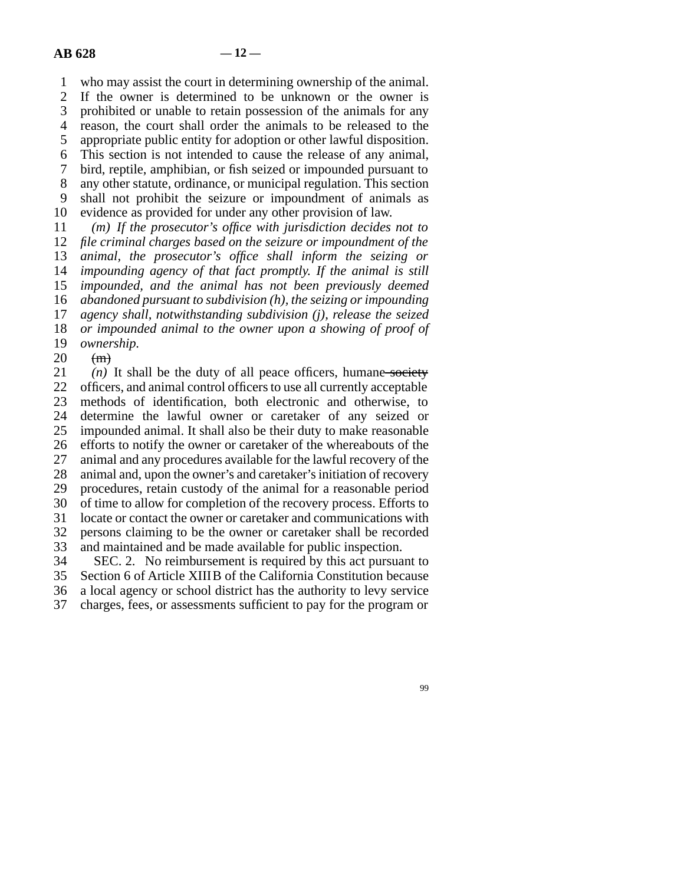line 1 who may assist the court in determining ownership of the animal.

2 If the owner is determined to be unknown or the owner is prohibited or unable to retain possession of the animals for any prohibited or unable to retain possession of the animals for any

4 reason, the court shall order the animals to be released to the

5 appropriate public entity for adoption or other lawful disposition.

line 6 This section is not intended to cause the release of any animal,

line 7 bird, reptile, amphibian, or fish seized or impounded pursuant to

8 any other statute, ordinance, or municipal regulation. This section

line 9 shall not prohibit the seizure or impoundment of animals as

10 evidence as provided for under any other provision of law.

11 (*m)* If the prosecutor's office with jurisdiction decides not to *file criminal charges based on the seizure or impoundment of the animal, the prosecutor's office shall inform the seizing or impounding agency of that fact promptly. If the animal is still impounded, and the animal has not been previously deemed abandoned pursuant to subdivision (h), the seizing or impounding agency shall, notwithstanding subdivision (j), release the seized or impounded animal to the owner upon a showing of proof of ownership.* 

 $20 \quad (m)$ 

21  $(n)$  It shall be the duty of all peace officers, humane society 22 officers, and animal control officers to use all currently acceptable 23 methods of identification, both electronic and otherwise, to 24 determine the lawful owner or caretaker of any seized or 25 impounded animal. It shall also be their duty to make reasonable impounded animal. It shall also be their duty to make reasonable 26 efforts to notify the owner or caretaker of the whereabouts of the 27 animal and any procedures available for the lawful recovery of the 28 animal and, upon the owner's and caretaker's initiation of recovery 29 procedures, retain custody of the animal for a reasonable period 30 of time to allow for completion of the recovery process. Efforts to 31 locate or contact the owner or caretaker and communications with 32 persons claiming to be the owner or caretaker shall be recorded 33 and maintained and be made available for public inspection.

34 SEC. 2. No reimbursement is required by this act pursuant to

35 Section 6 of Article XIIIB of the California Constitution because 36 a local agency or school district has the authority to levy service 37 charges, fees, or assessments sufficient to pay for the program or